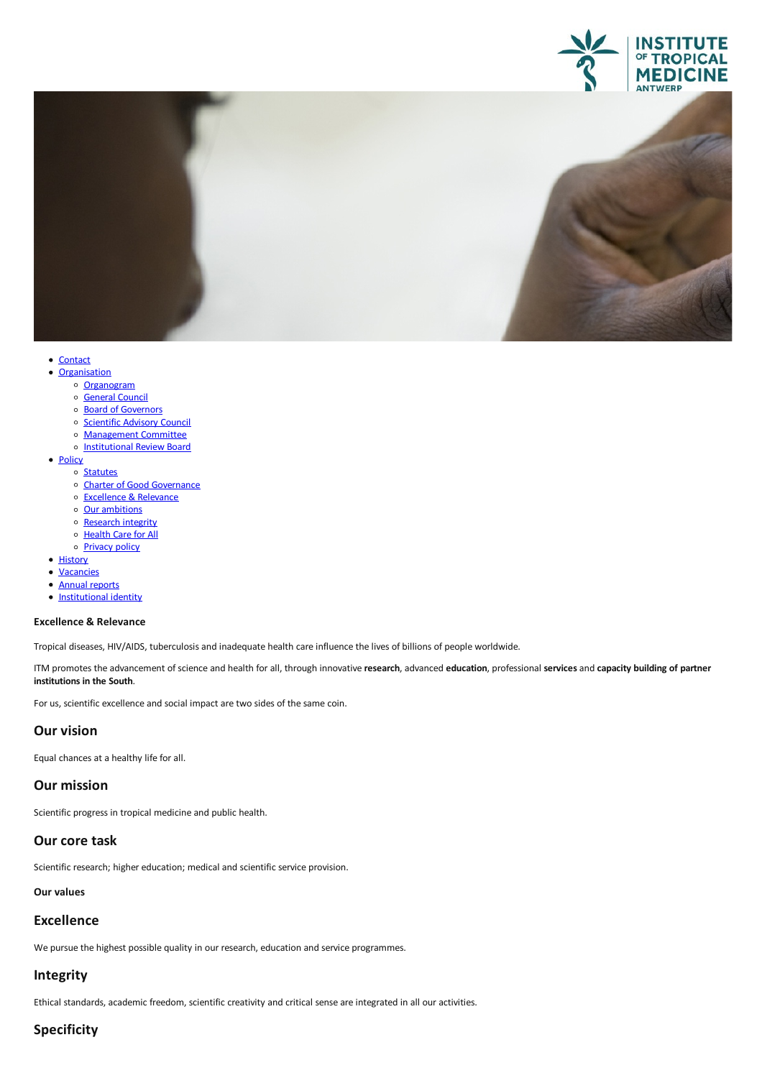



- [Contact](file:///E/contact)<br>• Organisation
	- - o [Organogram](https://www.itg.be/Files/docs/organogram-EN.pdf)
		- o [General](file:///E/general-council) Council
		- o Board of [Governors](file:///E/about-us/board-of-governors)
		- o [Scientific](file:///E/scientific-advisory-council) Advisory Council
		- [Management](file:///E/management-board) Committee
		- o [Institutional](file:///E/institutional-review-board) Review Board
- [Policy](javascript:void(0))
	- o [Statutes](file:///E/statutes)
	- Charter of Good [Governance](file:///E/charter-of-good-governance)
	- [Excellence](file:///E/excellence--relevance) & Relevance<br>○ Our ambitions
	-
	- o [Research](file:///E/research-integrity) integrity
	- o [Health](file:///E/health-care-for-all) Care for All
	- o **[Privacy](file:///E/privacy) policy**
- [History](file:///E/history)
- [Vacancies](file:///E/vacancies)
- Annual [reports](file:///E/about-us/annual-reports)
- [Institutional](file:///E/institutional-identity) identity

#### **Excellence & Relevance**

Tropical diseases, HIV/AIDS, tuberculosisand inadequate health care influence the lives of billions of people worldwide.

ITM promotes the advancement of science and health forall, through innovative **research**,advanced **education**, professional **services**and **capacity building of partner institutions in the South**.

For us, scientific excellence and social impact are two sides of the same coin.

### **Our vision**

Equal chances at a healthy life for all.

## **Our mission**

Scientific progress in tropical medicine and public health.

#### **Our core task**

Scientific research; higher education; medical and scientific service provision.

## **Our values**

#### **Excellence**

We pursue the highest possible quality in our research, education and service programmes.

#### **Integrity**

Ethical standards, academic freedom, scientific creativity and critical sense are integrated in all our activities.

## **Specificity**